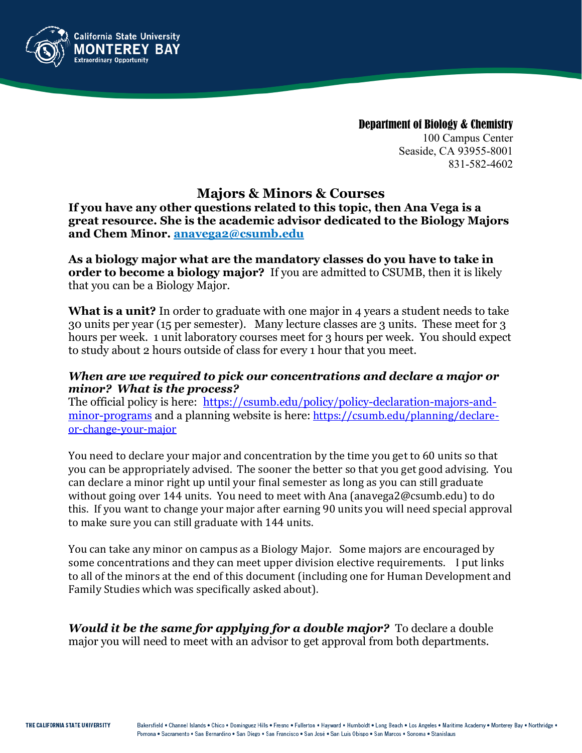

Department of Biology & Chemistry 100 Campus Center Seaside, CA 93955-8001 831-582-4602

# **Majors & Minors & Courses**

**If you have any other questions related to this topic, then Ana Vega is a great resource. She is the academic advisor dedicated to the Biology Majors and Chem Minor. anavega2@csumb.edu**

**As a biology major what are the mandatory classes do you have to take in order to become a biology major?** If you are admitted to CSUMB, then it is likely that you can be a Biology Major.

**What is a unit?** In order to graduate with one major in 4 years a student needs to take 30 units per year (15 per semester). Many lecture classes are 3 units. These meet for 3 hours per week. 1 unit laboratory courses meet for 3 hours per week. You should expect to study about 2 hours outside of class for every 1 hour that you meet.

#### *When are we required to pick our concentrations and declare a major or minor? What is the process?*

The official policy is here:[https://csumb.edu/policy/policy-declaration-majors-and](https://csumb.edu/policy/policy-declaration-majors-and-minor-programs)[minor-programs](https://csumb.edu/policy/policy-declaration-majors-and-minor-programs) and a planning website is here: [https://csumb.edu/planning/declare](https://csumb.edu/planning/declare-or-change-your-major)[or-change-your-major](https://csumb.edu/planning/declare-or-change-your-major)

You need to declare your major and concentration by the time you get to 60 units so that you can be appropriately advised. The sooner the better so that you get good advising. You can declare a minor right up until your final semester as long as you can still graduate without going over 144 units. You need to meet with Ana (anavega2@csumb.edu) to do this. If you want to change your major after earning 90 units you will need special approval to make sure you can still graduate with 144 units.

You can take any minor on campus as a Biology Major. Some majors are encouraged by some concentrations and they can meet upper division elective requirements. I put links to all of the minors at the end of this document (including one for Human Development and Family Studies which was specifically asked about).

*Would it be the same for applying for a double major?* To declare a double major you will need to meet with an advisor to get approval from both departments.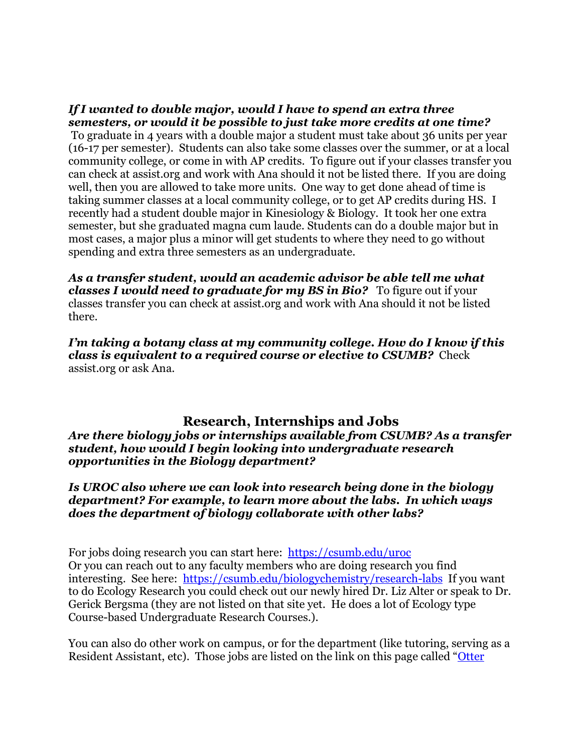#### *If I wanted to double major, would I have to spend an extra three semesters, or would it be possible to just take more credits at one time?* To graduate in 4 years with a double major a student must take about 36 units per year (16-17 per semester). Students can also take some classes over the summer, or at a local community college, or come in with AP credits. To figure out if your classes transfer you can check at assist.org and work with Ana should it not be listed there. If you are doing well, then you are allowed to take more units. One way to get done ahead of time is taking summer classes at a local community college, or to get AP credits during HS. I recently had a student double major in Kinesiology & Biology. It took her one extra semester, but she graduated magna cum laude. Students can do a double major but in most cases, a major plus a minor will get students to where they need to go without spending and extra three semesters as an undergraduate.

*As a transfer student, would an academic advisor be able tell me what classes I would need to graduate for my BS in Bio?* To figure out if your classes transfer you can check at assist.org and work with Ana should it not be listed there.

*I'm taking a botany class at my community college. How do I know if this class is equivalent to a required course or elective to CSUMB?* Check assist.org or ask Ana.

# **Research, Internships and Jobs**

*Are there biology jobs or internships available from CSUMB? As a transfer student, how would I begin looking into undergraduate research opportunities in the Biology department?*

#### *Is UROC also where we can look into research being done in the biology department? For example, to learn more about the labs. In which ways does the department of biology collaborate with other labs?*

For jobs doing research you can start here: <https://csumb.edu/uroc> Or you can reach out to any faculty members who are doing research you find interesting. See here: <https://csumb.edu/biologychemistry/research-labs>If you want to do Ecology Research you could check out our newly hired Dr. Liz Alter or speak to Dr. Gerick Bergsma (they are not listed on that site yet. He does a lot of Ecology type Course-based Undergraduate Research Courses.).

You can also do other work on campus, or for the department (like tutoring, serving as a Resident Assistant, etc). Those jobs are listed on the link on this page called ["Otter](https://csumb.edu/career/job-listings)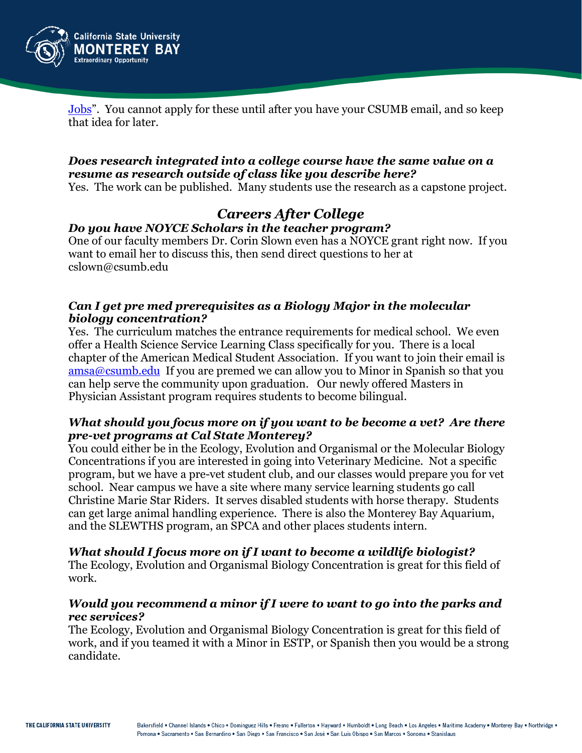

[Jobs"](https://csumb.edu/career/job-listings). You cannot apply for these until after you have your CSUMB email, and so keep that idea for later.

#### *Does research integrated into a college course have the same value on a resume as research outside of class like you describe here?*

Yes. The work can be published. Many students use the research as a capstone project.

#### *Careers After College Do you have NOYCE Scholars in the teacher program?*

One of our faculty members Dr. Corin Slown even has a NOYCE grant right now. If you want to email her to discuss this, then send direct questions to her at cslown@csumb.edu

## *Can I get pre med prerequisites as a Biology Major in the molecular biology concentration?*

Yes. The curriculum matches the entrance requirements for medical school. We even offer a Health Science Service Learning Class specifically for you. There is a local chapter of the American Medical Student Association. If you want to join their email is  $\frac{\text{amsa@csumb.edu}}{\text{at a class}}$  If you are premed we can allow you to Minor in Spanish so that you can help serve the community upon graduation. Our newly offered Masters in Physician Assistant program requires students to become bilingual.

#### *What should you focus more on if you want to be become a vet? Are there pre-vet programs at Cal State Monterey?*

You could either be in the Ecology, Evolution and Organismal or the Molecular Biology Concentrations if you are interested in going into Veterinary Medicine. Not a specific program, but we have a pre-vet student club, and our classes would prepare you for vet school. Near campus we have a site where many service learning students go call Christine Marie Star Riders. It serves disabled students with horse therapy. Students can get large animal handling experience. There is also the Monterey Bay Aquarium, and the SLEWTHS program, an SPCA and other places students intern.

## *What should I focus more on if I want to become a wildlife biologist?*

The Ecology, Evolution and Organismal Biology Concentration is great for this field of work.

#### *Would you recommend a minor if I were to want to go into the parks and rec services?*

The Ecology, Evolution and Organismal Biology Concentration is great for this field of work, and if you teamed it with a Minor in ESTP, or Spanish then you would be a strong candidate.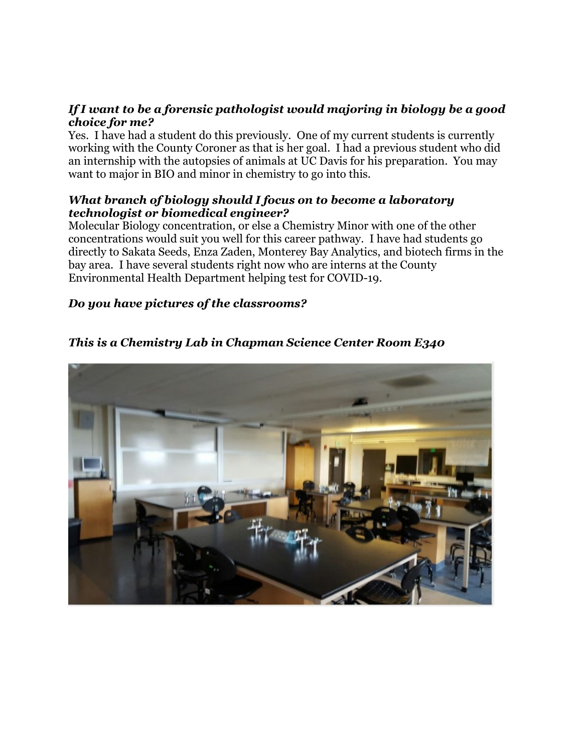#### *If I want to be a forensic pathologist would majoring in biology be a good choice for me?*

Yes. I have had a student do this previously. One of my current students is currently working with the County Coroner as that is her goal. I had a previous student who did an internship with the autopsies of animals at UC Davis for his preparation. You may want to major in BIO and minor in chemistry to go into this.

#### *What branch of biology should I focus on to become a laboratory technologist or biomedical engineer?*

Molecular Biology concentration, or else a Chemistry Minor with one of the other concentrations would suit you well for this career pathway. I have had students go directly to Sakata Seeds, Enza Zaden, Monterey Bay Analytics, and biotech firms in the bay area. I have several students right now who are interns at the County Environmental Health Department helping test for COVID-19.

## *Do you have pictures of the classrooms?*

*This is a Chemistry Lab in Chapman Science Center Room E340*

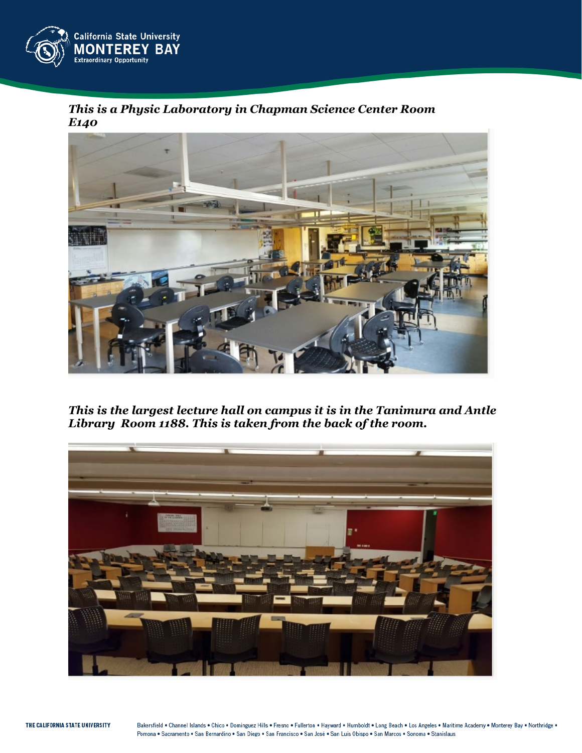

*This is a Physic Laboratory in Chapman Science Center Room E140*



*This is the largest lecture hall on campus it is in the Tanimura and Antle Library Room 1188. This is taken from the back of the room.*

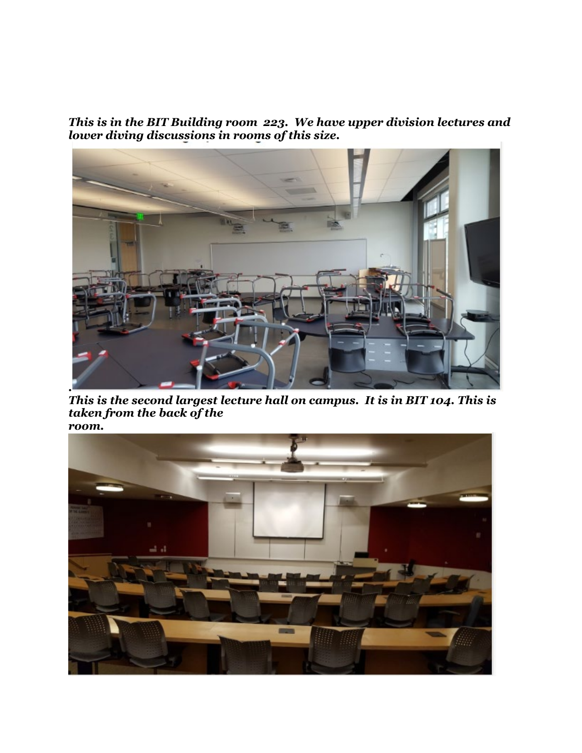*This is in the BIT Building room 223. We have upper division lectures and lower diving discussions in rooms of this size.* 



*This is the second largest lecture hall on campus. It is in BIT 104. This is taken from the back of the room.*

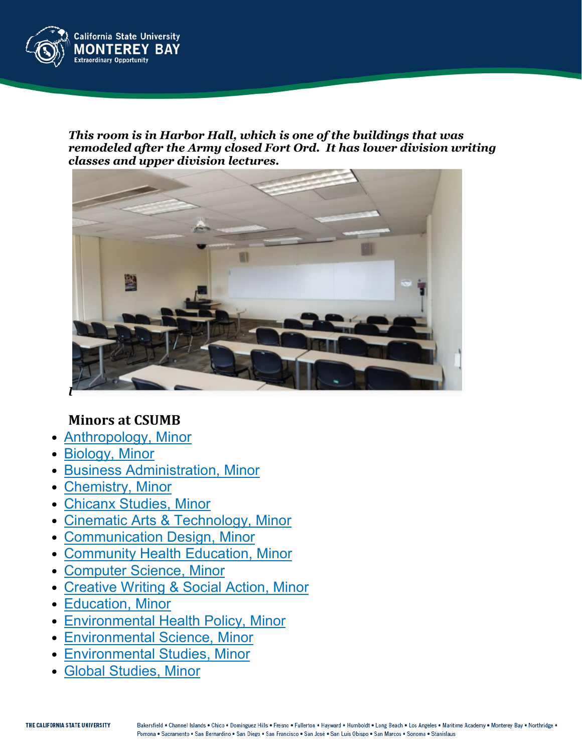

*This room is in Harbor Hall, which is one of the buildings that was remodeled after the Army closed Fort Ord. It has lower division writing classes and upper division lectures.*



# **Minors at CSUMB**

- [Anthropology,](https://catalog.csumb.edu/preview_program.php?catoid=2&poid=221&returnto=105) Minor
- [Biology,](https://catalog.csumb.edu/preview_program.php?catoid=2&poid=314&returnto=105) Minor
- Business [Administration,](https://catalog.csumb.edu/preview_program.php?catoid=2&poid=315&returnto=105) Minor
- [Chemistry,](https://catalog.csumb.edu/preview_program.php?catoid=2&poid=316&returnto=105) Minor
- [Chicanx](https://catalog.csumb.edu/preview_program.php?catoid=2&poid=317&returnto=105) Studies, Minor
- Cinematic Arts & [Technology,](https://catalog.csumb.edu/preview_program.php?catoid=2&poid=318&returnto=105) Minor
- [Communication](https://catalog.csumb.edu/preview_program.php?catoid=2&poid=319&returnto=105) Design, Minor
- [Community](https://catalog.csumb.edu/preview_program.php?catoid=2&poid=320&returnto=105) Health Education, Minor
- [Computer](https://catalog.csumb.edu/preview_program.php?catoid=2&poid=321&returnto=105) Science, Minor
- [Creative](https://catalog.csumb.edu/preview_program.php?catoid=2&poid=322&returnto=105) Writing & Social Action, Minor
- [Education,](https://catalog.csumb.edu/preview_program.php?catoid=2&poid=323&returnto=105) Minor
- [Environmental](https://catalog.csumb.edu/preview_program.php?catoid=2&poid=324&returnto=105) Health Policy, Minor
- [Environmental](https://catalog.csumb.edu/preview_program.php?catoid=2&poid=325&returnto=105) Science, Minor
- [Environmental](https://catalog.csumb.edu/preview_program.php?catoid=2&poid=326&returnto=105) Studies, Minor
- Global [Studies,](https://catalog.csumb.edu/preview_program.php?catoid=2&poid=327&returnto=105) Minor